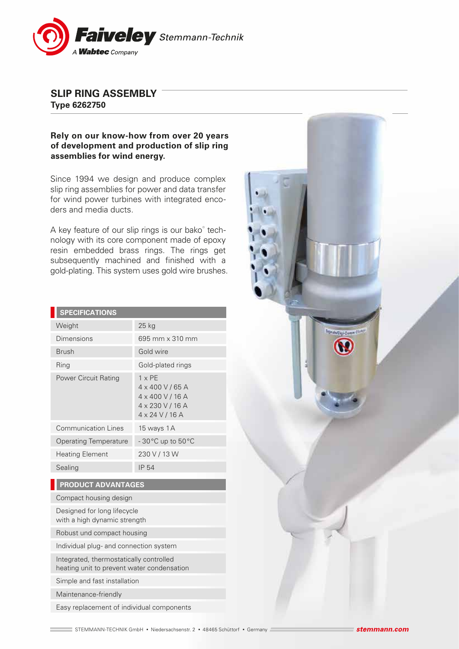

## **SLIP RING ASSEMBLY Type 6262750**

## **Rely on our know-how from over 20 years of development and production of slip ring assemblies for wind energy.**

Since 1994 we design and produce complex slip ring assemblies for power and data transfer for wind power turbines with integrated encoders and media ducts.

A key feature of our slip rings is our bako® technology with its core component made of epoxy resin embedded brass rings. The rings get subsequently machined and finished with a gold-plating. This system uses gold wire brushes.

| <b>SPECIFICATIONS</b>        |                                                                                                                          |
|------------------------------|--------------------------------------------------------------------------------------------------------------------------|
| Weight                       | $25$ kg                                                                                                                  |
| Dimensions                   | 695 mm x 310 mm                                                                                                          |
| <b>Brush</b>                 | Gold wire                                                                                                                |
| Ring                         | Gold-plated rings                                                                                                        |
| <b>Power Circuit Rating</b>  | $1 \times PF$<br>$4 \times 400$ V / 65 A<br>$4 \times 400$ V / 16 A<br>$4 \times 230$ V / 16 A<br>$4 \times 24$ V / 16 A |
| <b>Communication Lines</b>   | 15 ways 1A                                                                                                               |
| <b>Operating Temperature</b> | -30°C up to 50°C                                                                                                         |
| <b>Heating Element</b>       | 230 V / 13 W                                                                                                             |
| Sealing                      | IP 54                                                                                                                    |
|                              |                                                                                                                          |

## **PRODUCT ADVANTAGES**

Compact housing design

Designed for long lifecycle with a high dynamic strength

Robust und compact housing

Individual plug- and connection system

Integrated, thermostatically controlled heating unit to prevent water condensation

Simple and fast installation

Maintenance-friendly

Easy replacement of individual components